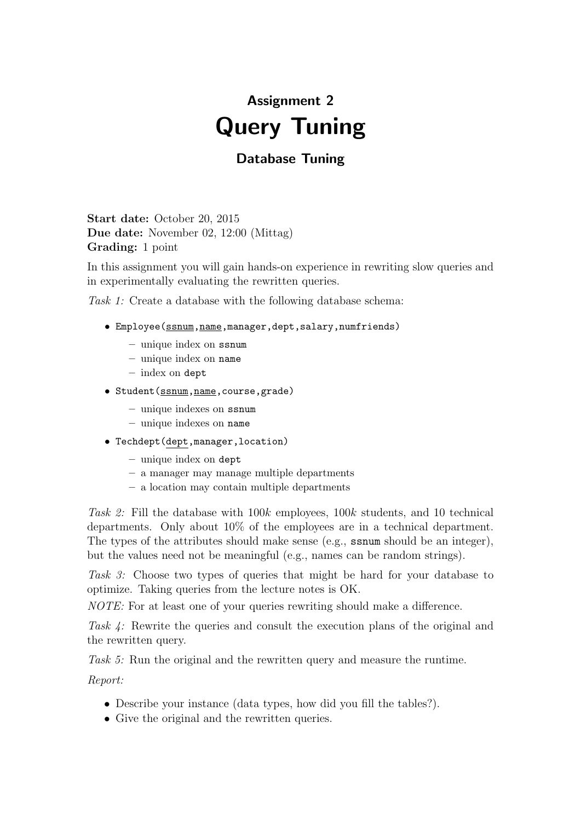## Assignment 2 Query Tuning

## Database Tuning

Start date: October 20, 2015 Due date: November 02, 12:00 (Mittag) Grading: 1 point

In this assignment you will gain hands-on experience in rewriting slow queries and in experimentally evaluating the rewritten queries.

Task 1: Create a database with the following database schema:

- Employee(ssnum,name,manager,dept,salary,numfriends)
	- unique index on ssnum
	- unique index on name
	- index on dept
- Student(ssnum,name,course,grade)
	- unique indexes on ssnum
	- unique indexes on name
- Techdept(dept,manager,location)
	- unique index on dept
	- a manager may manage multiple departments
	- a location may contain multiple departments

Task 2: Fill the database with 100k employees, 100k students, and 10 technical departments. Only about 10% of the employees are in a technical department. The types of the attributes should make sense (e.g., ssnum should be an integer), but the values need not be meaningful (e.g., names can be random strings).

Task 3: Choose two types of queries that might be hard for your database to optimize. Taking queries from the lecture notes is OK.

NOTE: For at least one of your queries rewriting should make a difference.

Task 4: Rewrite the queries and consult the execution plans of the original and the rewritten query.

Task 5: Run the original and the rewritten query and measure the runtime.

Report:

- Describe your instance (data types, how did you fill the tables?).
- Give the original and the rewritten queries.